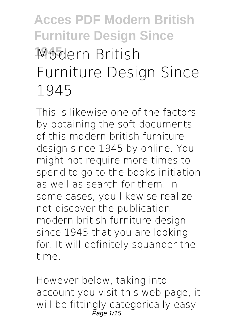# **Acces PDF Modern British Furniture Design Since 1945 Modern British Furniture Design Since 1945**

This is likewise one of the factors by obtaining the soft documents of this **modern british furniture design since 1945** by online. You might not require more times to spend to go to the books initiation as well as search for them. In some cases, you likewise realize not discover the publication modern british furniture design since 1945 that you are looking for. It will definitely squander the time.

However below, taking into account you visit this web page, it will be fittingly categorically easy Page 1/15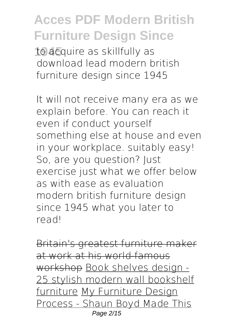**1945** to acquire as skillfully as download lead modern british furniture design since 1945

It will not receive many era as we explain before. You can reach it even if conduct yourself something else at house and even in your workplace. suitably easy! So, are you question? Just exercise just what we offer below as with ease as evaluation **modern british furniture design since 1945** what you later to read!

Britain's greatest furniture maker at work at his world-famous workshop Book shelves design - 25 stylish modern wall bookshelf furniture My Furniture Design Process - Shaun Boyd Made This Page 2/15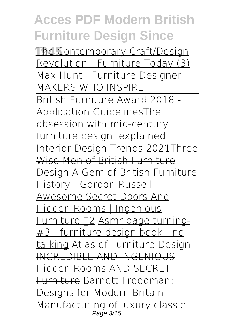**1945** The Contemporary Craft/Design Revolution - Furniture Today (3) **Max Hunt - Furniture Designer | MAKERS WHO INSPIRE**

British Furniture Award 2018 - Application Guidelines**The obsession with mid-century furniture design, explained** Interior Design Trends 2021 Three Wise Men of British Furniture Design A Gem of British Furniture History - Gordon Russell Awesome Secret Doors And Hidden Rooms | Ingenious Furniture 12 Asmr page turning-#3 - furniture design book - no talking **Atlas of Furniture Design** INCREDIBLE AND INGENIOUS Hidden Rooms AND SECRET Furniture **Barnett Freedman: Designs for Modern Britain** Manufacturing of luxury classic Page 3/15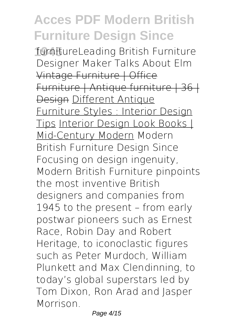**1945** furniture*Leading British Furniture Designer Maker Talks About Elm* Vintage Furniture | Office Furniture | Antique furniture | 36 | Design Different Antique Furniture Styles : Interior Design Tips Interior Design Look Books | Mid-Century Modern **Modern British Furniture Design Since** Focusing on design ingenuity, Modern British Furniture pinpoints the most inventive British designers and companies from 1945 to the present – from early postwar pioneers such as Ernest Race, Robin Day and Robert Heritage, to iconoclastic figures such as Peter Murdoch, William Plunkett and Max Clendinning, to today's global superstars led by Tom Dixon, Ron Arad and Jasper Morrison.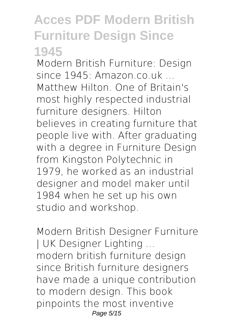**Modern British Furniture: Design since 1945: Amazon.co.uk ...** Matthew Hilton. One of Britain's most highly respected industrial furniture designers. Hilton believes in creating furniture that people live with. After graduating with a degree in Furniture Design from Kingston Polytechnic in 1979, he worked as an industrial designer and model maker until 1984 when he set up his own studio and workshop.

**Modern British Designer Furniture | UK Designer Lighting ...** modern british furniture design since British furniture designers have made a unique contribution to modern design. This book pinpoints the most inventive Page 5/15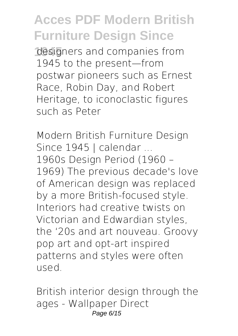**1945** designers and companies from 1945 to the present—from postwar pioneers such as Ernest Race, Robin Day, and Robert Heritage, to iconoclastic figures such as Peter

**Modern British Furniture Design Since 1945 | calendar ...** 1960s Design Period (1960 – 1969) The previous decade's love of American design was replaced by a more British-focused style. Interiors had creative twists on Victorian and Edwardian styles, the '20s and art nouveau. Groovy pop art and opt-art inspired patterns and styles were often used.

**British interior design through the ages - Wallpaper Direct** Page 6/15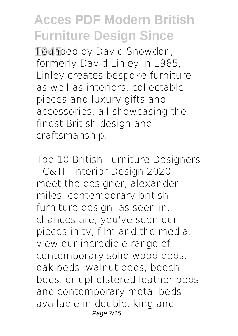**1945** Founded by David Snowdon, formerly David Linley in 1985, Linley creates bespoke furniture, as well as interiors, collectable pieces and luxury gifts and accessories, all showcasing the finest British design and craftsmanship.

**Top 10 British Furniture Designers | C&TH Interior Design 2020** meet the designer, alexander miles. contemporary british furniture design. as seen in. chances are, you've seen our pieces in tv, film and the media. view our incredible range of contemporary solid wood beds, oak beds, walnut beds, beech beds. or upholstered leather beds and contemporary metal beds, available in double, king and Page 7/15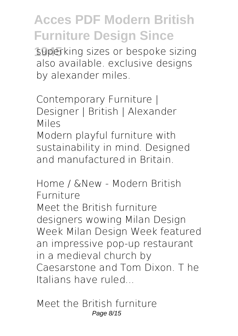**1945** superking sizes or bespoke sizing also available. exclusive designs by alexander miles.

**Contemporary Furniture | Designer | British | Alexander Miles**

Modern playful furniture with sustainability in mind. Designed and manufactured in Britain.

**Home / &New - Modern British Furniture** Meet the British furniture designers wowing Milan Design Week Milan Design Week featured an impressive pop-up restaurant in a medieval church by Caesarstone and Tom Dixon. T he Italians have ruled...

**Meet the British furniture** Page 8/15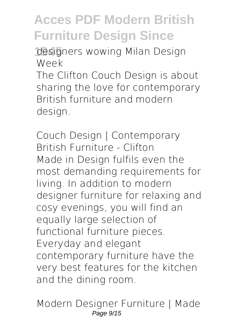**1945 designers wowing Milan Design Week**

The Clifton Couch Design is about sharing the love for contemporary British furniture and modern design.

**Couch Design | Contemporary British Furniture - Clifton** Made in Design fulfils even the most demanding requirements for living. In addition to modern designer furniture for relaxing and cosy evenings, you will find an equally large selection of functional furniture pieces. Everyday and elegant contemporary furniture have the very best features for the kitchen and the dining room.

**Modern Designer Furniture | Made** Page 9/15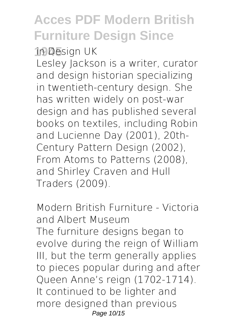**1945 in Design UK**

Lesley Jackson is a writer, curator and design historian specializing in twentieth-century design. She has written widely on post-war design and has published several books on textiles, including Robin and Lucienne Day (2001), 20th-Century Pattern Design (2002), From Atoms to Patterns (2008), and Shirley Craven and Hull Traders (2009).

**Modern British Furniture - Victoria and Albert Museum** The furniture designs began to evolve during the reign of William III, but the term generally applies to pieces popular during and after Queen Anne's reign (1702-1714). It continued to be lighter and more designed than previous Page 10/15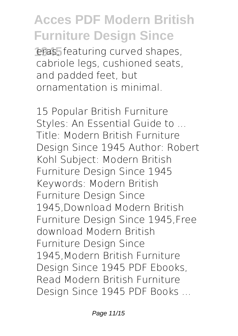eras, featuring curved shapes, cabriole legs, cushioned seats, and padded feet, but ornamentation is minimal.

**15 Popular British Furniture Styles: An Essential Guide to ...** Title: Modern British Furniture Design Since 1945 Author: Robert Kohl Subject: Modern British Furniture Design Since 1945 Keywords: Modern British Furniture Design Since 1945,Download Modern British Furniture Design Since 1945,Free download Modern British Furniture Design Since 1945,Modern British Furniture Design Since 1945 PDF Ebooks, Read Modern British Furniture Design Since 1945 PDF Books ...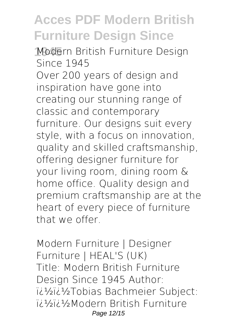**1945 Modern British Furniture Design Since 1945** Over 200 years of design and inspiration have gone into creating our stunning range of classic and contemporary furniture. Our designs suit every style, with a focus on innovation, quality and skilled craftsmanship, offering designer furniture for your living room, dining room & home office. Quality design and premium craftsmanship are at the heart of every piece of furniture that we offer.

**Modern Furniture | Designer Furniture | HEAL'S (UK)** Title: Modern British Furniture Design Since 1945 Author: i¿1/<sub>2</sub>i¿1/<sub>2</sub>Tobias Bachmeier Subject: ii.<sup>1</sup>/<sub>2</sub>ii.<sup>1</sup>/2Modern British Furniture Page 12/15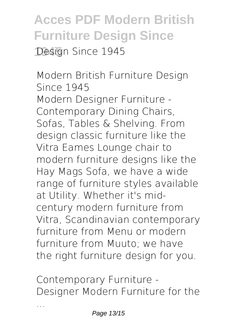#### **Acces PDF Modern British Furniture Design Since 1945** Design Since 1945

**Modern British Furniture Design Since 1945** Modern Designer Furniture - Contemporary Dining Chairs, Sofas, Tables & Shelving. From design classic furniture like the Vitra Eames Lounge chair to modern furniture designs like the Hay Mags Sofa, we have a wide range of furniture styles available at Utility. Whether it's midcentury modern furniture from Vitra, Scandinavian contemporary furniture from Menu or modern furniture from Muuto; we have the right furniture design for you.

**Contemporary Furniture - Designer Modern Furniture for the**

**...**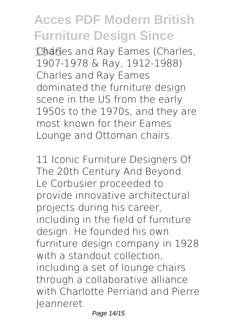**1945** Charles and Ray Eames (Charles, 1907-1978 & Ray, 1912-1988) Charles and Ray Eames dominated the furniture design scene in the US from the early 1950s to the 1970s, and they are most known for their Eames Lounge and Ottoman chairs.

**11 Iconic Furniture Designers Of The 20th Century And Beyond** Le Corbusier proceeded to provide innovative architectural projects during his career, including in the field of furniture design. He founded his own furniture design company in 1928 with a standout collection, including a set of lounge chairs through a collaborative alliance with Charlotte Perriand and Pierre Jeanneret.